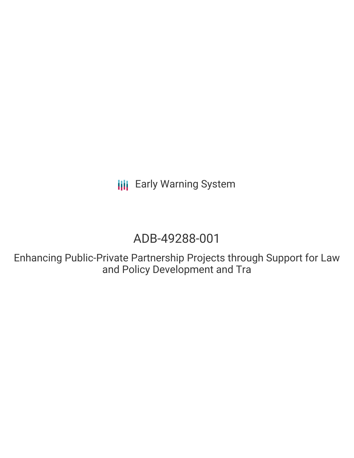**III** Early Warning System

# ADB-49288-001

Enhancing Public-Private Partnership Projects through Support for Law and Policy Development and Tra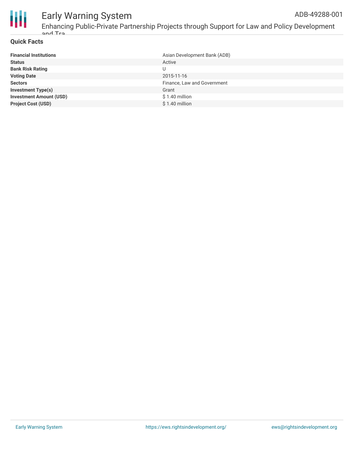

## Early Warning System

Enhancing Public-Private Partnership Projects through Support for Law and Policy Development and Tra

## **Quick Facts**

| <b>Financial Institutions</b>  | Asian Development Bank (ADB) |
|--------------------------------|------------------------------|
| <b>Status</b>                  | Active                       |
| <b>Bank Risk Rating</b>        |                              |
| <b>Voting Date</b>             | 2015-11-16                   |
| <b>Sectors</b>                 | Finance, Law and Government  |
| <b>Investment Type(s)</b>      | Grant                        |
| <b>Investment Amount (USD)</b> | $$1.40$ million              |
| <b>Project Cost (USD)</b>      | $$1.40$ million              |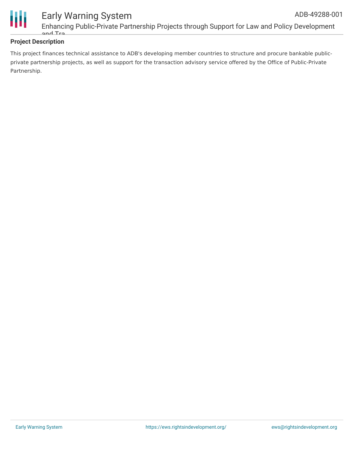

## **Project Description**

This project finances technical assistance to ADB's developing member countries to structure and procure bankable publicprivate partnership projects, as well as support for the transaction advisory service offered by the Office of Public-Private Partnership.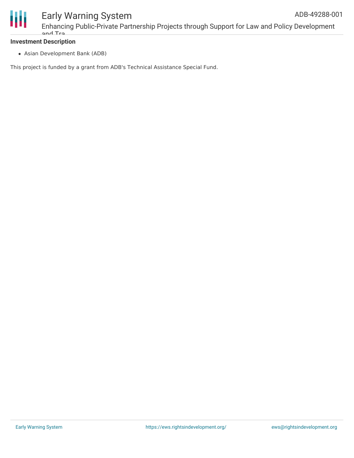

Enhancing Public-Private Partnership Projects through Support for Law and Policy Development and Tra

## **Investment Description**

Asian Development Bank (ADB)

This project is funded by a grant from ADB's Technical Assistance Special Fund.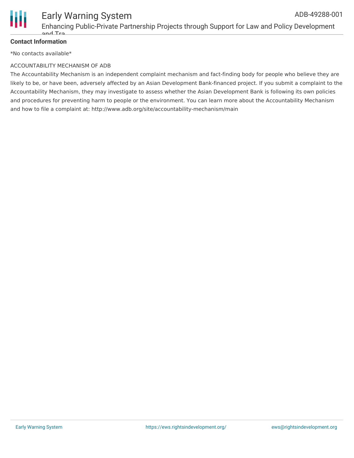

#### Early Warning System Enhancing Public-Private Partnership Projects through Support for Law and Policy Development and Tra ADB-49288-001

## **Contact Information**

\*No contacts available\*

### ACCOUNTABILITY MECHANISM OF ADB

The Accountability Mechanism is an independent complaint mechanism and fact-finding body for people who believe they are likely to be, or have been, adversely affected by an Asian Development Bank-financed project. If you submit a complaint to the Accountability Mechanism, they may investigate to assess whether the Asian Development Bank is following its own policies and procedures for preventing harm to people or the environment. You can learn more about the Accountability Mechanism and how to file a complaint at: http://www.adb.org/site/accountability-mechanism/main